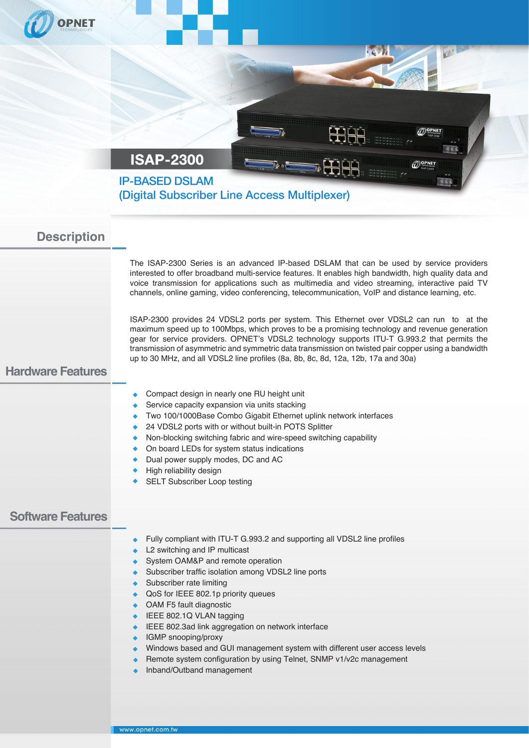| <b>PNET</b>                                    |                                                                                                                                                                                                                                                                                                                                                                                                                                                                                                                                                                                                                                                                                                                                                                                                                                                                                                                                                                                                                                                                                                                                                                                                                                                                                                      |
|------------------------------------------------|------------------------------------------------------------------------------------------------------------------------------------------------------------------------------------------------------------------------------------------------------------------------------------------------------------------------------------------------------------------------------------------------------------------------------------------------------------------------------------------------------------------------------------------------------------------------------------------------------------------------------------------------------------------------------------------------------------------------------------------------------------------------------------------------------------------------------------------------------------------------------------------------------------------------------------------------------------------------------------------------------------------------------------------------------------------------------------------------------------------------------------------------------------------------------------------------------------------------------------------------------------------------------------------------------|
|                                                | ذقت<br>$\mathcal{O}^{\text{OPNET}}$                                                                                                                                                                                                                                                                                                                                                                                                                                                                                                                                                                                                                                                                                                                                                                                                                                                                                                                                                                                                                                                                                                                                                                                                                                                                  |
|                                                | <b>ISAP-2300</b><br><b>THE</b><br>$\mathcal{O}^{\mathsf{OPNET}}_{\mathsf{SAP\,2300S}}$<br><b>IP-BASED DSLAM</b><br>$G_5$<br>(Digital Subscriber Line Access Multiplexer)                                                                                                                                                                                                                                                                                                                                                                                                                                                                                                                                                                                                                                                                                                                                                                                                                                                                                                                                                                                                                                                                                                                             |
| <b>Description</b><br><b>Hardware Features</b> | The ISAP-2300 Series is an advanced IP-based DSLAM that can be used by service providers<br>interested to offer broadband multi-service features. It enables high bandwidth, high quality data and<br>voice transmission for applications such as multimedia and video streaming, interactive paid TV<br>channels, online gaming, video conferencing, telecommunication, VoIP and distance learning, etc.<br>ISAP-2300 provides 24 VDSL2 ports per system. This Ethernet over VDSL2 can run to at the<br>maximum speed up to 100Mbps, which proves to be a promising technology and revenue generation<br>gear for service providers. OPNET's VDSL2 technology supports ITU-T G.993.2 that permits the<br>transmission of asymmetric and symmetric data transmission on twisted pair copper using a bandwidth<br>up to 30 MHz, and all VDSL2 line profiles (8a, 8b, 8c, 8d, 12a, 12b, 17a and 30a)<br>Compact design in nearly one RU height unit<br>Service capacity expansion via units stacking<br>Two 100/1000Base Combo Gigabit Ethernet uplink network interfaces<br>24 VDSL2 ports with or without built-in POTS Splitter<br>Non-blocking switching fabric and wire-speed switching capability<br>٠<br>On board LEDs for system status indications<br>٠<br>Dual power supply modes, DC and AC |
| <b>Software Features</b>                       | High reliability design<br><b>SELT Subscriber Loop testing</b><br>Fully compliant with ITU-T G.993.2 and supporting all VDSL2 line profiles<br>۰<br>L2 switching and IP multicast<br>System OAM&P and remote operation<br>Subscriber traffic isolation among VDSL2 line ports<br>٠<br>Subscriber rate limiting<br>۰<br>QoS for IEEE 802.1p priority queues<br>۰<br>OAM F5 fault diagnostic<br>۰<br>IEEE 802.1Q VLAN tagging<br>٠<br>IEEE 802.3ad link aggregation on network interface<br>٠<br>IGMP snooping/proxy<br>٠<br>Windows based and GUI management system with different user access levels<br>Remote system configuration by using Telnet, SNMP v1/v2c management<br>٠<br>Inband/Outband management                                                                                                                                                                                                                                                                                                                                                                                                                                                                                                                                                                                        |
|                                                |                                                                                                                                                                                                                                                                                                                                                                                                                                                                                                                                                                                                                                                                                                                                                                                                                                                                                                                                                                                                                                                                                                                                                                                                                                                                                                      |